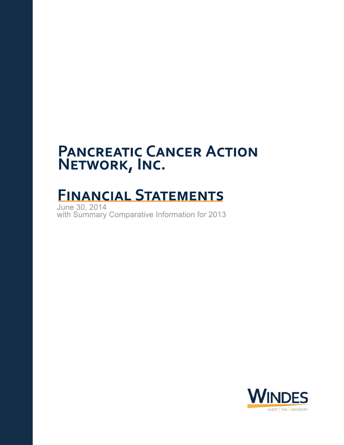# **FINANCIAL STATEMENTS**

June 30, 2014<br>with Summary Comparative Information for 2013

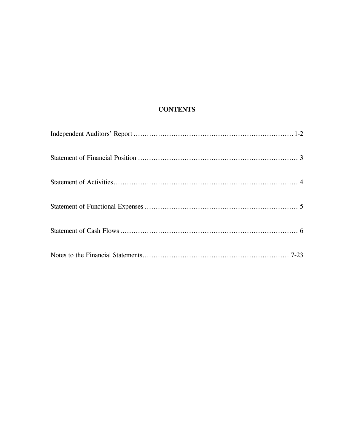# **CONTENTS**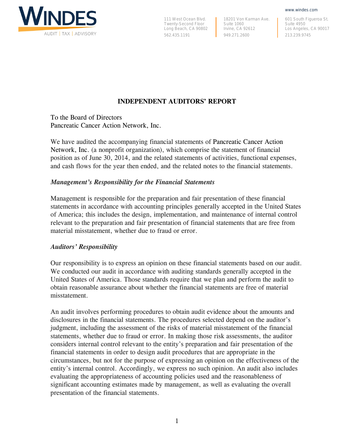

111 West Ocean Blvd. Twenty-Second Floor Long Beach, CA 90802 562.435.1191

18201 Von Karman Ave. Suite 1060 Irvine, CA 92612 949.271.2600

601 South Figueroa St. Suite 4950 Los Angeles, CA 90017 213.239.9745

www.windes.com

## **INDEPENDENT AUDITORS' REPORT**

To the Board of Directors Pancreatic Cancer Action Network, Inc.

We have audited the accompanying financial statements of Pancreatic Cancer Action Network, Inc. (a nonprofit organization), which comprise the statement of financial position as of June 30, 2014, and the related statements of activities, functional expenses, and cash flows for the year then ended, and the related notes to the financial statements.

## *Management's Responsibility for the Financial Statements*

Management is responsible for the preparation and fair presentation of these financial statements in accordance with accounting principles generally accepted in the United States of America; this includes the design, implementation, and maintenance of internal control relevant to the preparation and fair presentation of financial statements that are free from material misstatement, whether due to fraud or error.

#### *Auditors' Responsibility*

Our responsibility is to express an opinion on these financial statements based on our audit. We conducted our audit in accordance with auditing standards generally accepted in the United States of America. Those standards require that we plan and perform the audit to obtain reasonable assurance about whether the financial statements are free of material misstatement.

An audit involves performing procedures to obtain audit evidence about the amounts and disclosures in the financial statements. The procedures selected depend on the auditor's judgment, including the assessment of the risks of material misstatement of the financial statements, whether due to fraud or error. In making those risk assessments, the auditor considers internal control relevant to the entity's preparation and fair presentation of the financial statements in order to design audit procedures that are appropriate in the circumstances, but not for the purpose of expressing an opinion on the effectiveness of the entity's internal control. Accordingly, we express no such opinion. An audit also includes evaluating the appropriateness of accounting policies used and the reasonableness of significant accounting estimates made by management, as well as evaluating the overall presentation of the financial statements.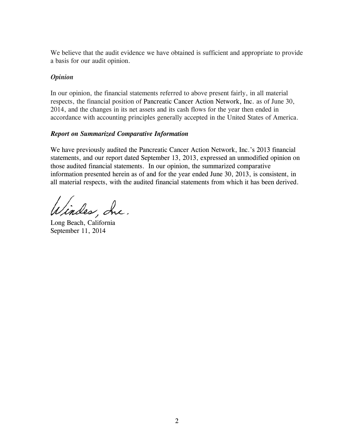We believe that the audit evidence we have obtained is sufficient and appropriate to provide a basis for our audit opinion.

## *Opinion*

In our opinion, the financial statements referred to above present fairly, in all material respects, the financial position of Pancreatic Cancer Action Network, Inc. as of June 30, 2014, and the changes in its net assets and its cash flows for the year then ended in accordance with accounting principles generally accepted in the United States of America.

## *Report on Summarized Comparative Information*

We have previously audited the Pancreatic Cancer Action Network, Inc.'s 2013 financial statements, and our report dated September 13, 2013, expressed an unmodified opinion on those audited financial statements. In our opinion, the summarized comparative information presented herein as of and for the year ended June 30, 2013, is consistent, in all material respects, with the audited financial statements from which it has been derived.

lindes, Inc.

Long Beach, California September 11, 2014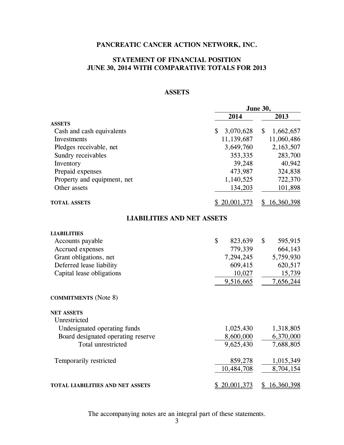## **STATEMENT OF FINANCIAL POSITION JUNE 30, 2014 WITH COMPARATIVE TOTALS FOR 2013**

## **ASSETS**

|                                    | June 30,        |                                        |  |
|------------------------------------|-----------------|----------------------------------------|--|
|                                    | 2014            | 2013                                   |  |
| <b>ASSETS</b>                      |                 |                                        |  |
| Cash and cash equivalents          | \$<br>3,070,628 | $\boldsymbol{\mathsf{S}}$<br>1,662,657 |  |
| Investments                        | 11,139,687      | 11,060,486                             |  |
| Pledges receivable, net            | 3,649,760       | 2,163,507                              |  |
| Sundry receivables                 | 353,335         | 283,700                                |  |
| Inventory                          | 39,248          | 40,942                                 |  |
| Prepaid expenses                   | 473,987         | 324,838                                |  |
| Property and equipment, net        | 1,140,525       | 722,370                                |  |
| Other assets                       | 134,203         | 101,898                                |  |
| <b>TOTAL ASSETS</b>                | \$20,001,373    | \$16,360,398                           |  |
| <b>LIABILITIES AND NET ASSETS</b>  |                 |                                        |  |
| <b>LIABILITIES</b>                 |                 |                                        |  |
| Accounts payable                   | \$<br>823,639   | \$<br>595,915                          |  |
| Accrued expenses                   | 779,339         | 664,143                                |  |
| Grant obligations, net             | 7,294,245       | 5,759,930                              |  |
| Deferred lease liability           | 609,415         | 620,517                                |  |
| Capital lease obligations          | 10,027          | 15,739                                 |  |
|                                    | 9,516,665       | 7,656,244                              |  |
| <b>COMMITMENTS</b> (Note 8)        |                 |                                        |  |
| <b>NET ASSETS</b>                  |                 |                                        |  |
| Unrestricted                       |                 |                                        |  |
| Undesignated operating funds       | 1,025,430       | 1,318,805                              |  |
| Board designated operating reserve | 8,600,000       | 6,370,000                              |  |
| Total unrestricted                 | 9,625,430       | 7,688,805                              |  |
| Temporarily restricted             | 859,278         | 1,015,349                              |  |
|                                    | 10,484,708      | 8,704,154                              |  |
| TOTAL LIABILITIES AND NET ASSETS   | \$20,001,373    | 16,360,398<br>\$                       |  |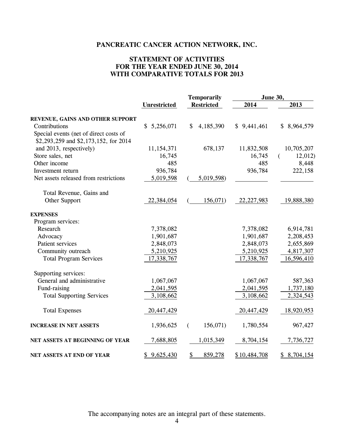## **STATEMENT OF ACTIVITIES FOR THE YEAR ENDED JUNE 30, 2014 WITH COMPARATIVE TOTALS FOR 2013**

|                                        |                     | <b>Temporarily</b>                |              | <b>June 30,</b> |
|----------------------------------------|---------------------|-----------------------------------|--------------|-----------------|
|                                        | <b>Unrestricted</b> | <b>Restricted</b>                 | 2014         | 2013            |
| REVENUE, GAINS AND OTHER SUPPORT       |                     |                                   |              |                 |
| Contributions                          | \$5,256,071         | \$<br>4,185,390                   | \$9,441,461  | \$8,964,579     |
| Special events (net of direct costs of |                     |                                   |              |                 |
| \$2,293,259 and \$2,173,152, for 2014  |                     |                                   |              |                 |
| and 2013, respectively)                | 11, 154, 371        | 678,137                           | 11,832,508   | 10,705,207      |
| Store sales, net                       | 16,745              |                                   | 16,745       | 12,012<br>€     |
| Other income                           | 485                 |                                   | 485          | 8,448           |
| Investment return                      | 936,784             |                                   | 936,784      | 222,158         |
| Net assets released from restrictions  | 5,019,598           | 5,019,598)                        |              |                 |
| Total Revenue, Gains and               |                     |                                   |              |                 |
| Other Support                          | 22,384,054          | 156,071)                          | 22, 227, 983 | 19,888,380      |
| <b>EXPENSES</b>                        |                     |                                   |              |                 |
| Program services:                      |                     |                                   |              |                 |
| Research                               | 7,378,082           |                                   | 7,378,082    | 6,914,781       |
| Advocacy                               | 1,901,687           |                                   | 1,901,687    | 2,208,453       |
| Patient services                       | 2,848,073           |                                   | 2,848,073    | 2,655,869       |
| Community outreach                     | 5,210,925           |                                   | 5,210,925    | 4,817,307       |
| <b>Total Program Services</b>          | 17,338,767          |                                   | 17,338,767   | 16,596,410      |
| Supporting services:                   |                     |                                   |              |                 |
| General and administrative             | 1,067,067           |                                   | 1,067,067    | 587,363         |
| Fund-raising                           | 2,041,595           |                                   | 2,041,595    | 1,737,180       |
| <b>Total Supporting Services</b>       | 3,108,662           |                                   | 3,108,662    | 2,324,543       |
| <b>Total Expenses</b>                  | 20,447,429          |                                   | 20,447,429   | 18,920,953      |
| <b>INCREASE IN NET ASSETS</b>          | 1,936,625           | 156,071)<br>€                     | 1,780,554    | 967,427         |
| NET ASSETS AT BEGINNING OF YEAR        | 7,688,805           | 1,015,349                         | 8,704,154    | 7,736,727       |
| NET ASSETS AT END OF YEAR              | \$9,625,430         | $\mathbf{\mathcal{L}}$<br>859,278 | \$10,484,708 | \$8,704,154     |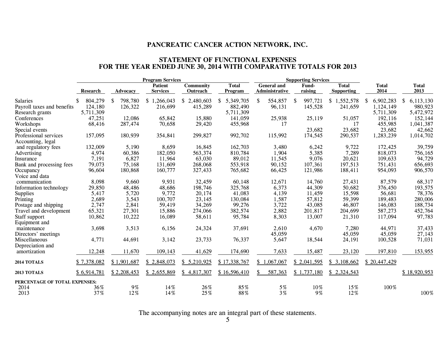#### **STATEMENT OF FUNCTIONAL EXPENSES FOR THE YEAR ENDED JUNE 30, 2014 WITH COMPARATIVE TOTALS FOR 2013**

|                               |                 | <b>Program Services</b> |                                   |                              |                         | <b>Supporting Services</b>           |                  |                                   |                      |                      |
|-------------------------------|-----------------|-------------------------|-----------------------------------|------------------------------|-------------------------|--------------------------------------|------------------|-----------------------------------|----------------------|----------------------|
|                               | <b>Research</b> | <b>Advocacy</b>         | <b>Patient</b><br><b>Services</b> | <b>Community</b><br>Outreach | <b>Total</b><br>Program | <b>General</b> and<br>Administrative | Fund-<br>raising | <b>Total</b><br><b>Supporting</b> | <b>Total</b><br>2014 | <b>Total</b><br>2013 |
|                               |                 |                         |                                   |                              |                         |                                      |                  |                                   |                      |                      |
| <b>Salaries</b>               | 804,279<br>S.   | \$<br>798,780           | \$1,266,043                       | \$2,480,603                  | \$5,349,705             | \$<br>554,857                        | \$<br>997,721    | \$1,552,578                       | 6,902,283<br>-S      | 6,113,130<br>\$      |
| Payroll taxes and benefits    | 124,180         | 126,322                 | 216,699                           | 415,289                      | 882,490                 | 96,131                               | 145,528          | 241,659                           | 1,124,149            | 980,923              |
| Research grants               | 5,711,309       |                         |                                   |                              | 5,711,309               |                                      |                  |                                   | 5,711,309            | 5,472,972            |
| Conferences                   | 47,251          | 12,086                  | 65,842                            | 15,880                       | 141,059                 | 25,938                               | 25,119           | 51,057                            | 192,116              | 152,144              |
| Workshops                     | 68,416          | 287,474                 | 70,658                            | 29,420                       | 455,968                 | 17                                   |                  | 17                                | 455,985              | 1,041,387            |
| Special events                |                 |                         |                                   |                              |                         |                                      | 23,682           | 23,682                            | 23,682               | 42,662               |
| Professional services         | 157,095         | 180,939                 | 354,841                           | 299,827                      | 992,702                 | 115,992                              | 174,545          | 290,537                           | 1,283,239            | 1,014,702            |
| Accounting, legal             |                 |                         |                                   |                              |                         |                                      |                  |                                   |                      |                      |
| and regulatory fees           | 132,009         | 5,190                   | 8,659                             | 16,845                       | 162,703                 | 3,480                                | 6,242            | 9,722                             | 172,425              | 39,759               |
| Advertising                   | 4,974           | 60,386                  | 182,050                           | 563,374                      | 810,784                 | 1,904                                | 5,385            | 7,289                             | 818,073              | 756,165              |
| Insurance                     | 7,191           | 6,827                   | 11,964                            | 63,030                       | 89,012                  | 11,545                               | 9,076            | 20,621                            | 109,633              | 94,729               |
| Bank and processing fees      | 79,073          | 75,168                  | 131,609                           | 268,068                      | 553,918                 | 90,152                               | 107,361          | 197,513                           | 751,431              | 656,693              |
| Occupancy                     | 96,604          | 180,868                 | 160,777                           | 327,433                      | 765,682                 | 66,425                               | 121,986          | 188,411                           | 954,093              | 906,570              |
| Voice and data                |                 |                         |                                   |                              |                         |                                      |                  |                                   |                      |                      |
| communication                 | 8,098           | 9,660                   | 9,931                             | 32,459                       | 60,148                  | 12,671                               | 14,760           | 27,431                            | 87,579               | 68,317               |
| Information technology        | 29,850          | 48,486                  | 48,686                            | 198,746                      | 325,768                 | 6,373                                | 44,309           | 50,682                            | 376,450              | 193,575              |
| Supplies                      | 5,417           | 5,720                   | 9,772                             | 20,174                       | 41,083                  | 4,139                                | 11,459           | 15,598                            | 56,681               | 78,376               |
| Printing                      | 2,689           | 3,543                   | 100,707                           | 23,145                       | 130,084                 | 1,587                                | 57,812           | 59,399                            | 189,483              | 280,006              |
| Postage and shipping          | 2,747           | 2,841                   | 59,419                            | 34,269                       | 99,276                  | 3,722                                | 43,085           | 46,807                            | 146,083              | 188,734              |
| Travel and development        | 65,321          | 27,301                  | 15,886                            | 274,066                      | 382,574                 | 2,882                                | 201,817          | 204,699                           | 587,273              | 452,764              |
| Staff support                 | 10,862          | 10,222                  | 16,089                            | 58,611                       | 95,784                  | 8,303                                | 13,007           | 21,310                            | 117,094              | 97,783               |
| Equipment and                 |                 |                         |                                   |                              |                         |                                      |                  |                                   |                      |                      |
| maintenance                   | 3,698           | 3,513                   | 6,156                             | 24,324                       | 37,691                  | 2,610                                | 4,670            | 7,280                             | 44,971               | 37,433               |
| Directors' meetings           |                 |                         |                                   |                              |                         | 45,059                               |                  | 45,059                            | 45,059               | 27,143               |
| Miscellaneous                 | 4,771           | 44,691                  | 3,142                             | 23,733                       | 76,337                  | 5,647                                | 18,544           | 24,191                            | 100,528              | 71,031               |
| Depreciation and              |                 |                         |                                   |                              |                         |                                      |                  |                                   |                      |                      |
| amortization                  | 12,248          | 11,670                  | 109,143                           | 41,629                       | 174,690                 | 7,633                                | 15,487           | 23,120                            | 197,810              | 153,955              |
| 2014 TOTALS                   | \$7,378,082     | \$1,901,687             | \$2,848,073                       | \$5,210,925                  | \$17,338,767            | \$1,067,067                          | \$2,041,595      | \$3,108,662                       | \$20,447,429         |                      |
| 2013 TOTALS                   | \$6,914,781     | \$2,208,453             | \$2,655,869                       | \$4,817,307                  | \$16,596,410            | 587,363<br>S.                        | \$1,737,180      | \$2,324,543                       |                      | \$18,920,953         |
| PERCENTAGE OF TOTAL EXPENSES: |                 |                         |                                   |                              |                         |                                      |                  |                                   |                      |                      |
| 2014                          | 36%             | 9%                      | 14%                               | 26%                          | 85%                     | $5\,\%$                              | 10%              | 15%                               | 100%                 |                      |
| 2013                          | 37%             | 12%                     | 14%                               | 25%                          | 88%                     | $3\%$                                | 9%               | 12%                               |                      | 100%                 |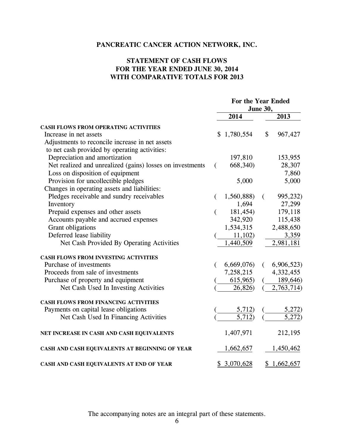## **STATEMENT OF CASH FLOWS FOR THE YEAR ENDED JUNE 30, 2014 WITH COMPARATIVE TOTALS FOR 2013**

|                                                           | For the Year Ended<br><b>June 30,</b> |             |          |            |
|-----------------------------------------------------------|---------------------------------------|-------------|----------|------------|
|                                                           |                                       | 2014        |          | 2013       |
| CASH FLOWS FROM OPERATING ACTIVITIES                      |                                       |             |          |            |
| Increase in net assets                                    |                                       | \$1,780,554 | \$       | 967,427    |
| Adjustments to reconcile increase in net assets           |                                       |             |          |            |
| to net cash provided by operating activities:             |                                       |             |          |            |
| Depreciation and amortization                             |                                       | 197,810     |          | 153,955    |
| Net realized and unrealized (gains) losses on investments | €                                     | 668,340)    |          | 28,307     |
| Loss on disposition of equipment                          |                                       |             |          | 7,860      |
| Provision for uncollectible pledges                       |                                       | 5,000       |          | 5,000      |
| Changes in operating assets and liabilities:              |                                       |             |          |            |
| Pledges receivable and sundry receivables                 |                                       | 1,560,888)  | $\left($ | 995,232)   |
| Inventory                                                 |                                       | 1,694       |          | 27,299     |
| Prepaid expenses and other assets                         | €                                     | 181,454)    |          | 179,118    |
| Accounts payable and accrued expenses                     |                                       | 342,920     |          | 115,438    |
| Grant obligations                                         |                                       | 1,534,315   |          | 2,488,650  |
| Deferred lease liability                                  |                                       | 11,102)     |          | 3,359      |
| Net Cash Provided By Operating Activities                 |                                       | 1,440,509   |          | 2,981,181  |
| <b>CASH FLOWS FROM INVESTING ACTIVITIES</b>               |                                       |             |          |            |
| Purchase of investments                                   |                                       | 6,669,076   | €        | 6,906,523  |
| Proceeds from sale of investments                         |                                       | 7,258,215   |          | 4,332,455  |
| Purchase of property and equipment                        |                                       | 615,965)    |          | 189,646)   |
| Net Cash Used In Investing Activities                     |                                       | 26,826)     |          | 2,763,714) |
| CASH FLOWS FROM FINANCING ACTIVITIES                      |                                       |             |          |            |
| Payments on capital lease obligations                     |                                       | 5,712)      |          | 5,272)     |
| Net Cash Used In Financing Activities                     |                                       | 5,712)      |          | 5,272)     |
| NET INCREASE IN CASH AND CASH EQUIVALENTS                 |                                       | 1,407,971   |          | 212,195    |
| CASH AND CASH EQUIVALENTS AT BEGINNING OF YEAR            |                                       | 1,662,657   |          | 1,450,462  |
| CASH AND CASH EQUIVALENTS AT END OF YEAR                  |                                       | \$3,070,628 | \$       | 1,662,657  |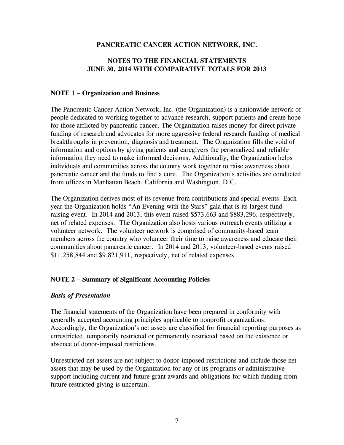## **NOTES TO THE FINANCIAL STATEMENTS JUNE 30, 2014 WITH COMPARATIVE TOTALS FOR 2013**

## **NOTE 1 – Organization and Business**

The Pancreatic Cancer Action Network, Inc. (the Organization) is a nationwide network of people dedicated to working together to advance research, support patients and create hope for those afflicted by pancreatic cancer. The Organization raises money for direct private funding of research and advocates for more aggressive federal research funding of medical breakthroughs in prevention, diagnosis and treatment. The Organization fills the void of information and options by giving patients and caregivers the personalized and reliable information they need to make informed decisions. Additionally, the Organization helps individuals and communities across the country work together to raise awareness about pancreatic cancer and the funds to find a cure. The Organization's activities are conducted from offices in Manhattan Beach, California and Washington, D.C.

The Organization derives most of its revenue from contributions and special events. Each year the Organization holds "An Evening with the Stars" gala that is its largest fundraising event. In 2014 and 2013, this event raised \$573,663 and \$883,296, respectively, net of related expenses. The Organization also hosts various outreach events utilizing a volunteer network. The volunteer network is comprised of community-based team members across the country who volunteer their time to raise awareness and educate their communities about pancreatic cancer. In 2014 and 2013, volunteer-based events raised \$11,258,844 and \$9,821,911, respectively, net of related expenses.

## **NOTE 2 – Summary of Significant Accounting Policies**

## *Basis of Presentation*

The financial statements of the Organization have been prepared in conformity with generally accepted accounting principles applicable to nonprofit organizations. Accordingly, the Organization's net assets are classified for financial reporting purposes as unrestricted, temporarily restricted or permanently restricted based on the existence or absence of donor-imposed restrictions.

Unrestricted net assets are not subject to donor-imposed restrictions and include those net assets that may be used by the Organization for any of its programs or administrative support including current and future grant awards and obligations for which funding from future restricted giving is uncertain.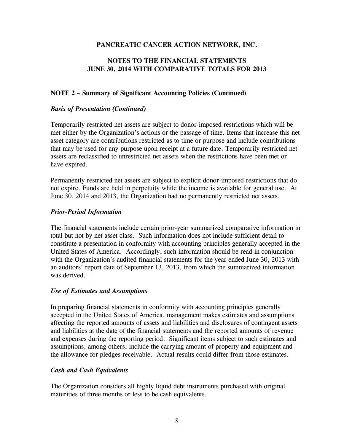## **NOTES TO THE FINANCIAL STATEMENTS JUNE 30, 2014 WITH COMPARATIVE TOTALS FOR 2013**

## **NOTE 2 – Summary of Significant Accounting Policies (Continued)**

## *Basis of Presentation (Continued)*

Temporarily restricted net assets are subject to donor-imposed restrictions which will be met either by the Organization's actions or the passage of time. Items that increase this net asset category are contributions restricted as to time or purpose and include contributions that may be used for any purpose upon receipt at a future date. Temporarily restricted net assets are reclassified to unrestricted net assets when the restrictions have been met or have expired.

Permanently restricted net assets are subject to explicit donor-imposed restrictions that do not expire. Funds are held in perpetuity while the income is available for general use. At June 30, 2014 and 2013, the Organization had no permanently restricted net assets.

#### *Prior-Period Information*

The financial statements include certain prior-year summarized comparative information in total but not by net asset class. Such information does not include sufficient detail to constitute a presentation in conformity with accounting principles generally accepted in the United States of America. Accordingly, such information should be read in conjunction with the Organization's audited financial statements for the year ended June 30, 2013 with an auditors' report date of September 13, 2013, from which the summarized information was derived.

#### *Use of Estimates and Assumptions*

In preparing financial statements in conformity with accounting principles generally accepted in the United States of America, management makes estimates and assumptions affecting the reported amounts of assets and liabilities and disclosures of contingent assets and liabilities at the date of the financial statements and the reported amounts of revenue and expenses during the reporting period. Significant items subject to such estimates and assumptions, among others, include the carrying amount of property and equipment and the allowance for pledges receivable. Actual results could differ from those estimates.

## *Cash and Cash Equivalents*

The Organization considers all highly liquid debt instruments purchased with original maturities of three months or less to be cash equivalents.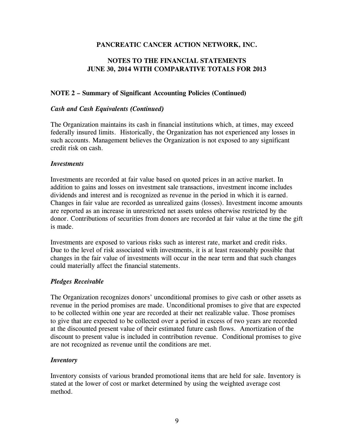## **NOTES TO THE FINANCIAL STATEMENTS JUNE 30, 2014 WITH COMPARATIVE TOTALS FOR 2013**

## **NOTE 2 – Summary of Significant Accounting Policies (Continued)**

## *Cash and Cash Equivalents (Continued)*

The Organization maintains its cash in financial institutions which, at times, may exceed federally insured limits. Historically, the Organization has not experienced any losses in such accounts. Management believes the Organization is not exposed to any significant credit risk on cash.

#### *Investments*

Investments are recorded at fair value based on quoted prices in an active market. In addition to gains and losses on investment sale transactions, investment income includes dividends and interest and is recognized as revenue in the period in which it is earned. Changes in fair value are recorded as unrealized gains (losses). Investment income amounts are reported as an increase in unrestricted net assets unless otherwise restricted by the donor. Contributions of securities from donors are recorded at fair value at the time the gift is made.

Investments are exposed to various risks such as interest rate, market and credit risks. Due to the level of risk associated with investments, it is at least reasonably possible that changes in the fair value of investments will occur in the near term and that such changes could materially affect the financial statements.

#### *Pledges Receivable*

The Organization recognizes donors' unconditional promises to give cash or other assets as revenue in the period promises are made. Unconditional promises to give that are expected to be collected within one year are recorded at their net realizable value. Those promises to give that are expected to be collected over a period in excess of two years are recorded at the discounted present value of their estimated future cash flows. Amortization of the discount to present value is included in contribution revenue. Conditional promises to give are not recognized as revenue until the conditions are met.

## *Inventory*

Inventory consists of various branded promotional items that are held for sale. Inventory is stated at the lower of cost or market determined by using the weighted average cost method.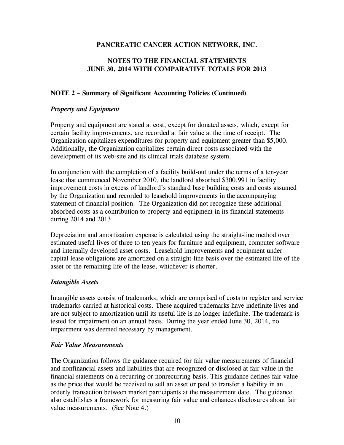## **NOTES TO THE FINANCIAL STATEMENTS JUNE 30, 2014 WITH COMPARATIVE TOTALS FOR 2013**

## **NOTE 2 – Summary of Significant Accounting Policies (Continued)**

#### *Property and Equipment*

Property and equipment are stated at cost, except for donated assets, which, except for certain facility improvements, are recorded at fair value at the time of receipt. The Organization capitalizes expenditures for property and equipment greater than \$5,000. Additionally, the Organization capitalizes certain direct costs associated with the development of its web-site and its clinical trials database system.

In conjunction with the completion of a facility build-out under the terms of a ten-year lease that commenced November 2010, the landlord absorbed \$300,991 in facility improvement costs in excess of landlord's standard base building costs and costs assumed by the Organization and recorded to leasehold improvements in the accompanying statement of financial position. The Organization did not recognize these additional absorbed costs as a contribution to property and equipment in its financial statements during 2014 and 2013.

Depreciation and amortization expense is calculated using the straight-line method over estimated useful lives of three to ten years for furniture and equipment, computer software and internally developed asset costs. Leasehold improvements and equipment under capital lease obligations are amortized on a straight-line basis over the estimated life of the asset or the remaining life of the lease, whichever is shorter.

#### *Intangible Assets*

Intangible assets consist of trademarks, which are comprised of costs to register and service trademarks carried at historical costs. These acquired trademarks have indefinite lives and are not subject to amortization until its useful life is no longer indefinite. The trademark is tested for impairment on an annual basis. During the year ended June 30, 2014, no impairment was deemed necessary by management.

#### *Fair Value Measurements*

The Organization follows the guidance required for fair value measurements of financial and nonfinancial assets and liabilities that are recognized or disclosed at fair value in the financial statements on a recurring or nonrecurring basis. This guidance defines fair value as the price that would be received to sell an asset or paid to transfer a liability in an orderly transaction between market participants at the measurement date. The guidance also establishes a framework for measuring fair value and enhances disclosures about fair value measurements. (See Note 4.)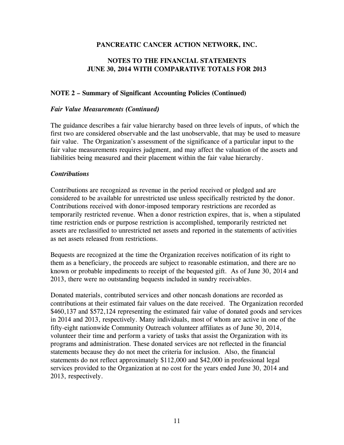## **NOTES TO THE FINANCIAL STATEMENTS JUNE 30, 2014 WITH COMPARATIVE TOTALS FOR 2013**

## **NOTE 2 – Summary of Significant Accounting Policies (Continued)**

#### *Fair Value Measurements (Continued)*

The guidance describes a fair value hierarchy based on three levels of inputs, of which the first two are considered observable and the last unobservable, that may be used to measure fair value. The Organization's assessment of the significance of a particular input to the fair value measurements requires judgment, and may affect the valuation of the assets and liabilities being measured and their placement within the fair value hierarchy.

#### *Contributions*

Contributions are recognized as revenue in the period received or pledged and are considered to be available for unrestricted use unless specifically restricted by the donor. Contributions received with donor-imposed temporary restrictions are recorded as temporarily restricted revenue. When a donor restriction expires, that is, when a stipulated time restriction ends or purpose restriction is accomplished, temporarily restricted net assets are reclassified to unrestricted net assets and reported in the statements of activities as net assets released from restrictions.

Bequests are recognized at the time the Organization receives notification of its right to them as a beneficiary, the proceeds are subject to reasonable estimation, and there are no known or probable impediments to receipt of the bequested gift. As of June 30, 2014 and 2013, there were no outstanding bequests included in sundry receivables.

Donated materials, contributed services and other noncash donations are recorded as contributions at their estimated fair values on the date received. The Organization recorded \$460,137 and \$572,124 representing the estimated fair value of donated goods and services in 2014 and 2013, respectively. Many individuals, most of whom are active in one of the fifty-eight nationwide Community Outreach volunteer affiliates as of June 30, 2014, volunteer their time and perform a variety of tasks that assist the Organization with its programs and administration. These donated services are not reflected in the financial statements because they do not meet the criteria for inclusion. Also, the financial statements do not reflect approximately \$112,000 and \$42,000 in professional legal services provided to the Organization at no cost for the years ended June 30, 2014 and 2013, respectively.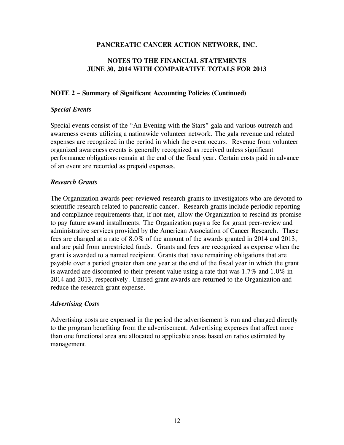## **NOTES TO THE FINANCIAL STATEMENTS JUNE 30, 2014 WITH COMPARATIVE TOTALS FOR 2013**

## **NOTE 2 – Summary of Significant Accounting Policies (Continued)**

## *Special Events*

Special events consist of the "An Evening with the Stars" gala and various outreach and awareness events utilizing a nationwide volunteer network. The gala revenue and related expenses are recognized in the period in which the event occurs. Revenue from volunteer organized awareness events is generally recognized as received unless significant performance obligations remain at the end of the fiscal year. Certain costs paid in advance of an event are recorded as prepaid expenses.

## *Research Grants*

The Organization awards peer-reviewed research grants to investigators who are devoted to scientific research related to pancreatic cancer. Research grants include periodic reporting and compliance requirements that, if not met, allow the Organization to rescind its promise to pay future award installments. The Organization pays a fee for grant peer-review and administrative services provided by the American Association of Cancer Research. These fees are charged at a rate of 8.0% of the amount of the awards granted in 2014 and 2013, and are paid from unrestricted funds. Grants and fees are recognized as expense when the grant is awarded to a named recipient. Grants that have remaining obligations that are payable over a period greater than one year at the end of the fiscal year in which the grant is awarded are discounted to their present value using a rate that was 1.7% and 1.0% in 2014 and 2013, respectively. Unused grant awards are returned to the Organization and reduce the research grant expense.

## *Advertising Costs*

Advertising costs are expensed in the period the advertisement is run and charged directly to the program benefiting from the advertisement. Advertising expenses that affect more than one functional area are allocated to applicable areas based on ratios estimated by management.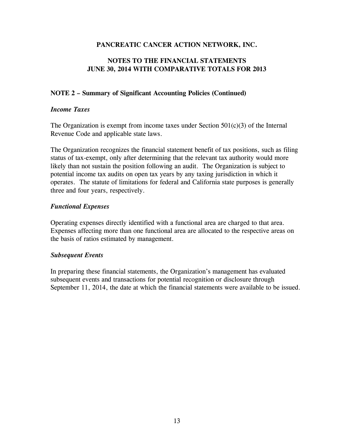## **NOTES TO THE FINANCIAL STATEMENTS JUNE 30, 2014 WITH COMPARATIVE TOTALS FOR 2013**

## **NOTE 2 – Summary of Significant Accounting Policies (Continued)**

#### *Income Taxes*

The Organization is exempt from income taxes under Section  $501(c)(3)$  of the Internal Revenue Code and applicable state laws.

The Organization recognizes the financial statement benefit of tax positions, such as filing status of tax-exempt, only after determining that the relevant tax authority would more likely than not sustain the position following an audit. The Organization is subject to potential income tax audits on open tax years by any taxing jurisdiction in which it operates. The statute of limitations for federal and California state purposes is generally three and four years, respectively.

#### *Functional Expenses*

Operating expenses directly identified with a functional area are charged to that area. Expenses affecting more than one functional area are allocated to the respective areas on the basis of ratios estimated by management.

#### *Subsequent Events*

In preparing these financial statements, the Organization's management has evaluated subsequent events and transactions for potential recognition or disclosure through September 11, 2014, the date at which the financial statements were available to be issued.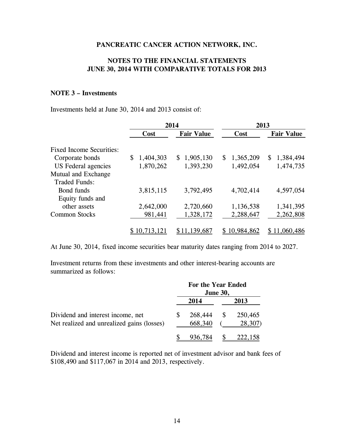## **NOTES TO THE FINANCIAL STATEMENTS JUNE 30, 2014 WITH COMPARATIVE TOTALS FOR 2013**

## **NOTE 3 – Investments**

Investments held at June 30, 2014 and 2013 consist of:

|                                 |                 | 2014              | 2013            |                   |  |
|---------------------------------|-----------------|-------------------|-----------------|-------------------|--|
|                                 | Cost            | <b>Fair Value</b> |                 | <b>Fair Value</b> |  |
| <b>Fixed Income Securities:</b> |                 |                   |                 |                   |  |
| Corporate bonds                 | 1,404,303<br>\$ | \$1,905,130       | 1,365,209<br>S. | 1,384,494<br>S.   |  |
| US Federal agencies             | 1,870,262       | 1,393,230         | 1,492,054       | 1,474,735         |  |
| Mutual and Exchange             |                 |                   |                 |                   |  |
| <b>Traded Funds:</b>            |                 |                   |                 |                   |  |
| Bond funds                      | 3,815,115       | 3,792,495         | 4,702,414       | 4,597,054         |  |
| Equity funds and                |                 |                   |                 |                   |  |
| other assets                    | 2,642,000       | 2,720,660         | 1,136,538       | 1,341,395         |  |
| <b>Common Stocks</b>            | 981,441         | 1,328,172         | 2,288,647       | 2,262,808         |  |
|                                 | \$10,713,121    | \$11,139,687      | \$10,984,862    | \$11,060,486      |  |

At June 30, 2014, fixed income securities bear maturity dates ranging from 2014 to 2027.

Investment returns from these investments and other interest-bearing accounts are summarized as follows:

|                                            | For the Year Ended | <b>June 30,</b> |         |
|--------------------------------------------|--------------------|-----------------|---------|
|                                            | 2014               |                 | 2013    |
| Dividend and interest income, net          | 268,444            |                 | 250,465 |
| Net realized and unrealized gains (losses) | 668,340            |                 | 28,307) |
|                                            | 936.784            |                 | 222,158 |

Dividend and interest income is reported net of investment advisor and bank fees of \$108,490 and \$117,067 in 2014 and 2013, respectively.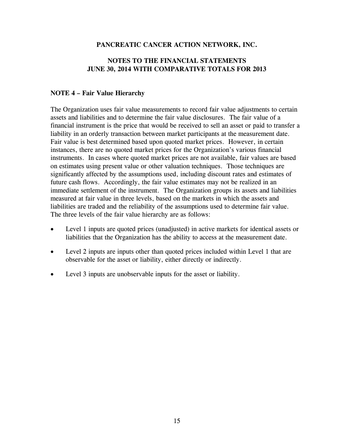## **NOTES TO THE FINANCIAL STATEMENTS JUNE 30, 2014 WITH COMPARATIVE TOTALS FOR 2013**

## **NOTE 4 – Fair Value Hierarchy**

The Organization uses fair value measurements to record fair value adjustments to certain assets and liabilities and to determine the fair value disclosures. The fair value of a financial instrument is the price that would be received to sell an asset or paid to transfer a liability in an orderly transaction between market participants at the measurement date. Fair value is best determined based upon quoted market prices. However, in certain instances, there are no quoted market prices for the Organization's various financial instruments. In cases where quoted market prices are not available, fair values are based on estimates using present value or other valuation techniques. Those techniques are significantly affected by the assumptions used, including discount rates and estimates of future cash flows. Accordingly, the fair value estimates may not be realized in an immediate settlement of the instrument. The Organization groups its assets and liabilities measured at fair value in three levels, based on the markets in which the assets and liabilities are traded and the reliability of the assumptions used to determine fair value. The three levels of the fair value hierarchy are as follows:

- Level 1 inputs are quoted prices (unadjusted) in active markets for identical assets or liabilities that the Organization has the ability to access at the measurement date.
- Level 2 inputs are inputs other than quoted prices included within Level 1 that are observable for the asset or liability, either directly or indirectly.
- Level 3 inputs are unobservable inputs for the asset or liability.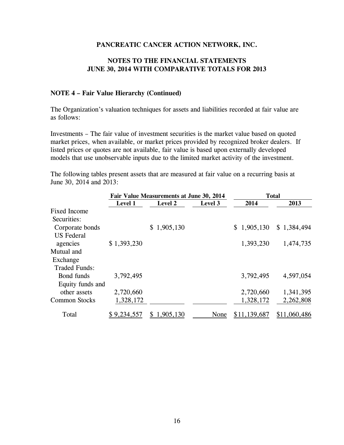## **NOTES TO THE FINANCIAL STATEMENTS JUNE 30, 2014 WITH COMPARATIVE TOTALS FOR 2013**

#### **NOTE 4 – Fair Value Hierarchy (Continued)**

The Organization's valuation techniques for assets and liabilities recorded at fair value are as follows:

Investments – The fair value of investment securities is the market value based on quoted market prices, when available, or market prices provided by recognized broker dealers. If listed prices or quotes are not available, fair value is based upon externally developed models that use unobservable inputs due to the limited market activity of the investment.

The following tables present assets that are measured at fair value on a recurring basis at June 30, 2014 and 2013:

|                      |             | Fair Value Measurements at June 30, 2014 |         | <b>Total</b> |              |  |
|----------------------|-------------|------------------------------------------|---------|--------------|--------------|--|
|                      | Level 1     | <b>Level 2</b>                           | Level 3 | 2014         | 2013         |  |
| <b>Fixed Income</b>  |             |                                          |         |              |              |  |
| Securities:          |             |                                          |         |              |              |  |
| Corporate bonds      |             | \$1,905,130                              |         | \$1,905,130  | \$1,384,494  |  |
| <b>US</b> Federal    |             |                                          |         |              |              |  |
| agencies             | \$1,393,230 |                                          |         | 1,393,230    | 1,474,735    |  |
| Mutual and           |             |                                          |         |              |              |  |
| Exchange             |             |                                          |         |              |              |  |
| <b>Traded Funds:</b> |             |                                          |         |              |              |  |
| Bond funds           | 3,792,495   |                                          |         | 3,792,495    | 4,597,054    |  |
| Equity funds and     |             |                                          |         |              |              |  |
| other assets         | 2,720,660   |                                          |         | 2,720,660    | 1,341,395    |  |
| <b>Common Stocks</b> | 1,328,172   |                                          |         | 1,328,172    | 2,262,808    |  |
| Total                | \$9,234,557 | 1,905,130                                | None    | \$11,139,687 | \$11,060,486 |  |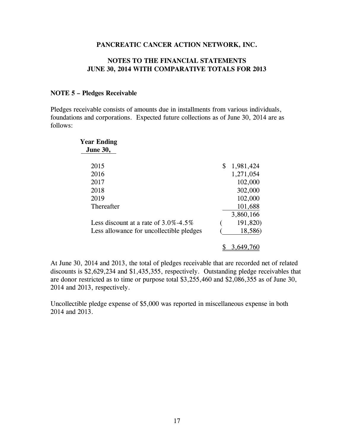#### **NOTES TO THE FINANCIAL STATEMENTS JUNE 30, 2014 WITH COMPARATIVE TOTALS FOR 2013**

#### **NOTE 5 – Pledges Receivable**

Pledges receivable consists of amounts due in installments from various individuals, foundations and corporations. Expected future collections as of June 30, 2014 are as follows:

| <b>Year Ending</b><br><b>June 30,</b>    |                 |
|------------------------------------------|-----------------|
|                                          |                 |
| 2015                                     | \$<br>1,981,424 |
| 2016                                     | 1,271,054       |
| 2017                                     | 102,000         |
| 2018                                     | 302,000         |
| 2019                                     | 102,000         |
| Thereafter                               | 101,688         |
|                                          | 3,860,166       |
| Less discount at a rate of $3.0\%$ -4.5% | 191,820)        |
| Less allowance for uncollectible pledges | 18,586)         |
|                                          | 3.649.7         |

At June 30, 2014 and 2013, the total of pledges receivable that are recorded net of related discounts is \$2,629,234 and \$1,435,355, respectively. Outstanding pledge receivables that are donor restricted as to time or purpose total \$3,255,460 and \$2,086,355 as of June 30, 2014 and 2013, respectively.

Uncollectible pledge expense of \$5,000 was reported in miscellaneous expense in both 2014 and 2013.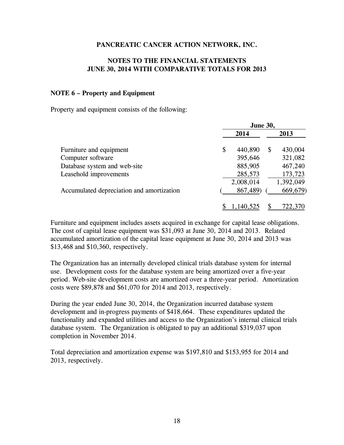## **NOTES TO THE FINANCIAL STATEMENTS JUNE 30, 2014 WITH COMPARATIVE TOTALS FOR 2013**

#### **NOTE 6 – Property and Equipment**

Property and equipment consists of the following:

|                                           | <b>June 30,</b> |           |   |           |
|-------------------------------------------|-----------------|-----------|---|-----------|
|                                           |                 | 2014      |   | 2013      |
| Furniture and equipment                   | \$              | 440,890   | S | 430,004   |
| Computer software                         |                 | 395,646   |   | 321,082   |
| Database system and web-site              |                 | 885,905   |   | 467,240   |
| Leasehold improvements                    |                 | 285,573   |   | 173,723   |
|                                           |                 | 2,008,014 |   | 1,392,049 |
| Accumulated depreciation and amortization |                 | 867,489)  |   | 669,679)  |
|                                           |                 | 140.52.   |   | 722,370   |

Furniture and equipment includes assets acquired in exchange for capital lease obligations. The cost of capital lease equipment was \$31,093 at June 30, 2014 and 2013. Related accumulated amortization of the capital lease equipment at June 30, 2014 and 2013 was \$13,468 and \$10,360, respectively.

The Organization has an internally developed clinical trials database system for internal use. Development costs for the database system are being amortized over a five-year period. Web-site development costs are amortized over a three-year period. Amortization costs were \$89,878 and \$61,070 for 2014 and 2013, respectively.

During the year ended June 30, 2014, the Organization incurred database system development and in-progress payments of \$418,664. These expenditures updated the functionality and expanded utilities and access to the Organization's internal clinical trials database system. The Organization is obligated to pay an additional \$319,037 upon completion in November 2014.

Total depreciation and amortization expense was \$197,810 and \$153,955 for 2014 and 2013, respectively.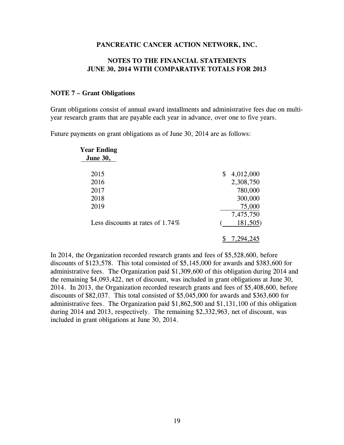#### **NOTES TO THE FINANCIAL STATEMENTS JUNE 30, 2014 WITH COMPARATIVE TOTALS FOR 2013**

#### **NOTE 7 – Grant Obligations**

Grant obligations consist of annual award installments and administrative fees due on multiyear research grants that are payable each year in advance, over one to five years.

Future payments on grant obligations as of June 30, 2014 are as follows:

| <b>Year Ending</b>                  |                 |
|-------------------------------------|-----------------|
| <b>June 30,</b>                     |                 |
| 2015                                | \$<br>4,012,000 |
| 2016                                | 2,308,750       |
| 2017                                | 780,000         |
| 2018                                | 300,000         |
| 2019                                | 75,000          |
|                                     | 7,475,750       |
| Less discounts at rates of $1.74\%$ | 181,505)        |
|                                     |                 |

In 2014, the Organization recorded research grants and fees of \$5,528,600, before discounts of \$123,578. This total consisted of \$5,145,000 for awards and \$383,600 for administrative fees. The Organization paid \$1,309,600 of this obligation during 2014 and the remaining \$4,093,422, net of discount, was included in grant obligations at June 30, 2014. In 2013, the Organization recorded research grants and fees of \$5,408,600, before discounts of \$82,037. This total consisted of \$5,045,000 for awards and \$363,600 for administrative fees. The Organization paid \$1,862,500 and \$1,131,100 of this obligation during 2014 and 2013, respectively. The remaining \$2,332,963, net of discount, was included in grant obligations at June 30, 2014.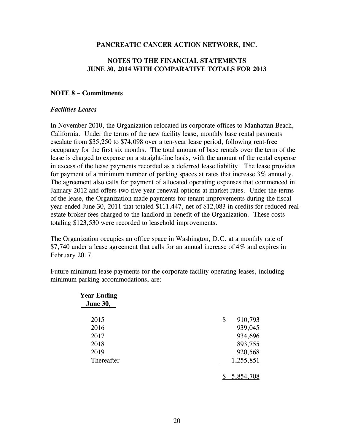## **NOTES TO THE FINANCIAL STATEMENTS JUNE 30, 2014 WITH COMPARATIVE TOTALS FOR 2013**

#### **NOTE 8 – Commitments**

#### *Facilities Leases*

In November 2010, the Organization relocated its corporate offices to Manhattan Beach, California. Under the terms of the new facility lease, monthly base rental payments escalate from \$35,250 to \$74,098 over a ten-year lease period, following rent-free occupancy for the first six months. The total amount of base rentals over the term of the lease is charged to expense on a straight-line basis, with the amount of the rental expense in excess of the lease payments recorded as a deferred lease liability. The lease provides for payment of a minimum number of parking spaces at rates that increase 3% annually. The agreement also calls for payment of allocated operating expenses that commenced in January 2012 and offers two five-year renewal options at market rates. Under the terms of the lease, the Organization made payments for tenant improvements during the fiscal year-ended June 30, 2011 that totaled \$111,447, net of \$12,083 in credits for reduced realestate broker fees charged to the landlord in benefit of the Organization. These costs totaling \$123,530 were recorded to leasehold improvements.

The Organization occupies an office space in Washington, D.C. at a monthly rate of \$7,740 under a lease agreement that calls for an annual increase of 4% and expires in February 2017.

Future minimum lease payments for the corporate facility operating leases, including minimum parking accommodations, are:

| <b>Year Ending</b><br><b>June 30,</b> |               |
|---------------------------------------|---------------|
| 2015                                  | 910,793<br>\$ |
| 2016                                  | 939,045       |
| 2017                                  | 934,696       |
| 2018                                  | 893,755       |
| 2019                                  | 920,568       |
| Thereafter                            | 1,255,851     |
|                                       | 5,854,708     |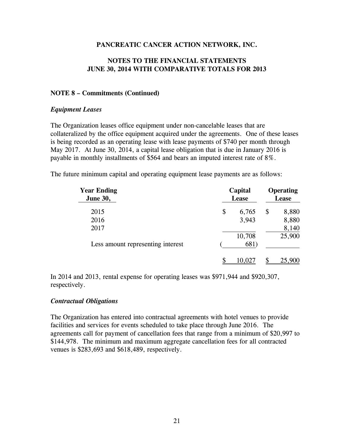## **NOTES TO THE FINANCIAL STATEMENTS JUNE 30, 2014 WITH COMPARATIVE TOTALS FOR 2013**

#### **NOTE 8 – Commitments (Continued)**

#### *Equipment Leases*

The Organization leases office equipment under non-cancelable leases that are collateralized by the office equipment acquired under the agreements. One of these leases is being recorded as an operating lease with lease payments of \$740 per month through May 2017. At June 30, 2014, a capital lease obligation that is due in January 2016 is payable in monthly installments of \$564 and bears an imputed interest rate of 8%.

The future minimum capital and operating equipment lease payments are as follows:

| <b>Year Ending</b><br><b>June 30,</b> | Capital<br>Lease |    | <b>Operating</b><br>Lease |  |
|---------------------------------------|------------------|----|---------------------------|--|
| 2015                                  | \$<br>6,765      | \$ | 8,880                     |  |
| 2016                                  | 3,943            |    | 8,880                     |  |
| 2017                                  |                  |    | 8,140                     |  |
|                                       | 10,708           |    | 25,900                    |  |
| Less amount representing interest     | 681)             |    |                           |  |
|                                       | 10,027           |    | 25,900                    |  |

In 2014 and 2013, rental expense for operating leases was \$971,944 and \$920,307, respectively.

#### *Contractual Obligations*

The Organization has entered into contractual agreements with hotel venues to provide facilities and services for events scheduled to take place through June 2016. The agreements call for payment of cancellation fees that range from a minimum of \$20,997 to \$144,978. The minimum and maximum aggregate cancellation fees for all contracted venues is \$283,693 and \$618,489, respectively.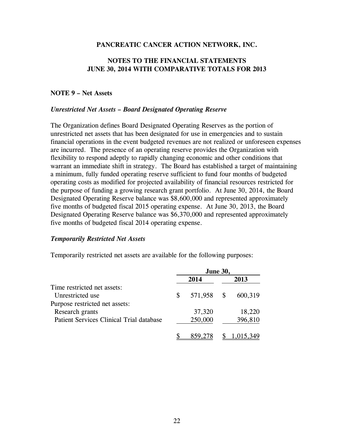## **NOTES TO THE FINANCIAL STATEMENTS JUNE 30, 2014 WITH COMPARATIVE TOTALS FOR 2013**

## **NOTE 9 – Net Assets**

#### *Unrestricted Net Assets – Board Designated Operating Reserve*

The Organization defines Board Designated Operating Reserves as the portion of unrestricted net assets that has been designated for use in emergencies and to sustain financial operations in the event budgeted revenues are not realized or unforeseen expenses are incurred. The presence of an operating reserve provides the Organization with flexibility to respond adeptly to rapidly changing economic and other conditions that warrant an immediate shift in strategy. The Board has established a target of maintaining a minimum, fully funded operating reserve sufficient to fund four months of budgeted operating costs as modified for projected availability of financial resources restricted for the purpose of funding a growing research grant portfolio. At June 30, 2014, the Board Designated Operating Reserve balance was \$8,600,000 and represented approximately five months of budgeted fiscal 2015 operating expense. At June 30, 2013, the Board Designated Operating Reserve balance was \$6,370,000 and represented approximately five months of budgeted fiscal 2014 operating expense.

#### *Temporarily Restricted Net Assets*

Temporarily restricted net assets are available for the following purposes:

|                                          | <b>June 30,</b> |         |  |           |  |
|------------------------------------------|-----------------|---------|--|-----------|--|
|                                          |                 | 2014    |  | 2013      |  |
| Time restricted net assets:              |                 |         |  |           |  |
| Unrestricted use                         | S               | 571,958 |  | 600,319   |  |
| Purpose restricted net assets:           |                 |         |  |           |  |
| Research grants                          |                 | 37,320  |  | 18,220    |  |
| Patient Services Clinical Trial database |                 | 250,000 |  | 396,810   |  |
|                                          |                 | 859,278 |  | 1,015,349 |  |